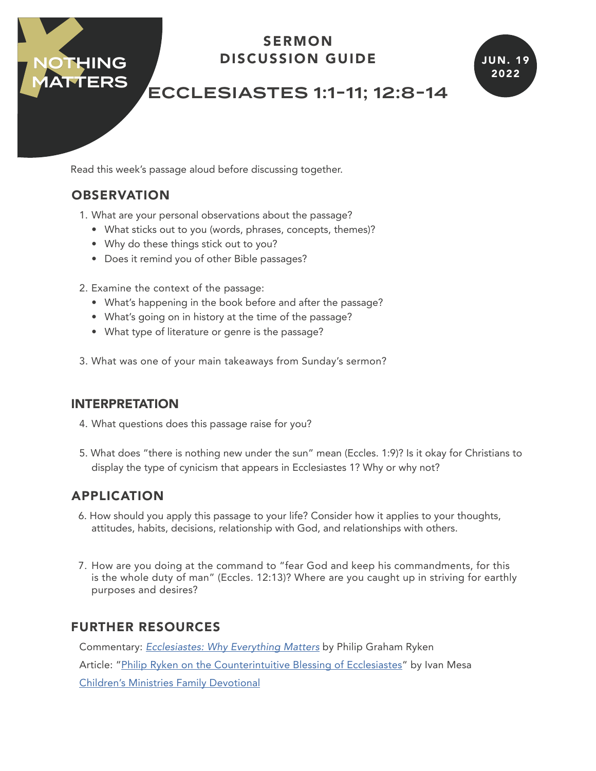

# ECCLESIASTES 1:1-11; 12:8-14

Read this week's passage aloud before discussing together.

### **OBSERVATION**

NOTHING **MATTERS** 

- 1. What are your personal observations about the passage?
	- What sticks out to you (words, phrases, concepts, themes)?
	- Why do these things stick out to you?
	- Does it remind you of other Bible passages?
- 2. Examine the context of the passage:
	- What's happening in the book before and after the passage?
	- What's going on in history at the time of the passage?
	- What type of literature or genre is the passage?
- 3. What was one of your main takeaways from Sunday's sermon?

#### INTERPRETATION

- 4. What questions does this passage raise for you?
- 5. What does "there is nothing new under the sun" mean (Eccles. 1:9)? Is it okay for Christians to display the type of cynicism that appears in Ecclesiastes 1? Why or why not?

### APPLICATION

- 6. How should you apply this passage to your life? Consider how it applies to your thoughts, attitudes, habits, decisions, relationship with God, and relationships with others.
- 7. How are you doing at the command to "fear God and keep his commandments, for this is the whole duty of man" (Eccles. 12:13)? Where are you caught up in striving for earthly purposes and desires?

#### FURTHER RESOURCES

Commentary: *[Ecclesiastes: Why Everything Matters](https://www.christianbook.com/ecclesiastes-why-everything-matters/philip-ryken/9781433548888/pd/548888)* by Philip Graham Ryken Article: "[Philip Ryken on the Counterintuitive Blessing of Ecclesiastes](https://www.thegospelcoalition.org/article/philip-ryken-ecclesiastes/)" by Ivan Mesa [Children's Ministries Family Devotional](https://www.yourchurch.com/familydevotional)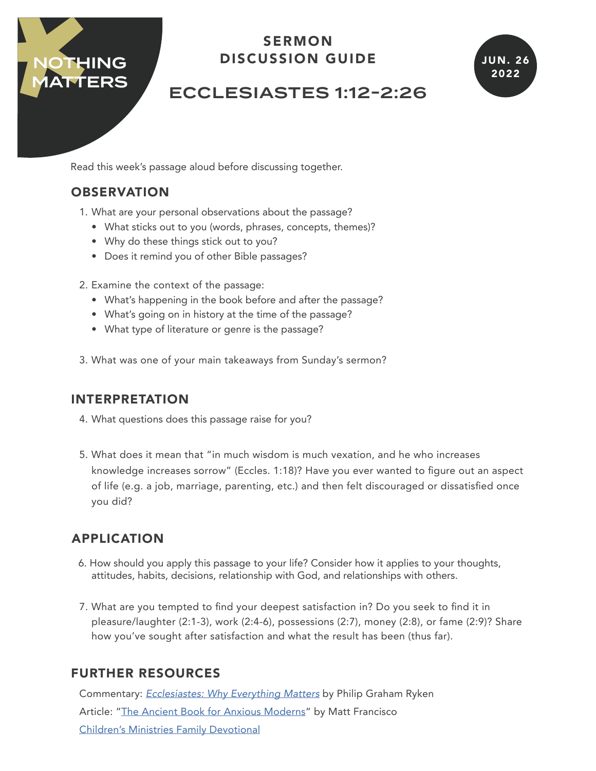# NOTHING **MATTERS**

### SERMON DISCUSSION GUIDE



# ECCLESIASTES 1:12-2:26

Read this week's passage aloud before discussing together.

### **OBSERVATION**

- 1. What are your personal observations about the passage?
	- What sticks out to you (words, phrases, concepts, themes)?
	- Why do these things stick out to you?
	- Does it remind you of other Bible passages?
- 2. Examine the context of the passage:
	- What's happening in the book before and after the passage?
	- What's going on in history at the time of the passage?
	- What type of literature or genre is the passage?
- 3. What was one of your main takeaways from Sunday's sermon?

### INTERPRETATION

- 4. What questions does this passage raise for you?
- 5. What does it mean that "in much wisdom is much vexation, and he who increases knowledge increases sorrow" (Eccles. 1:18)? Have you ever wanted to figure out an aspect of life (e.g. a job, marriage, parenting, etc.) and then felt discouraged or dissatisfied once you did?

### APPLICATION

- 6. How should you apply this passage to your life? Consider how it applies to your thoughts, attitudes, habits, decisions, relationship with God, and relationships with others.
- 7. What are you tempted to find your deepest satisfaction in? Do you seek to find it in pleasure/laughter (2:1-3), work (2:4-6), possessions (2:7), money (2:8), or fame (2:9)? Share how you've sought after satisfaction and what the result has been (thus far).

### FURTHER RESOURCES

Commentary: *[Ecclesiastes: Why Everything Matters](https://www.christianbook.com/ecclesiastes-why-everything-matters/philip-ryken/9781433548888/pd/548888)* by Philip Graham Ryken Article: "[The Ancient Book for Anxious Moderns](https://www.thegospelcoalition.org/article/ancient-book-anxious-moderns/)" by Matt Francisco [Children's Ministries Family Devotional](https://www.yourchurch.com/familydevotional)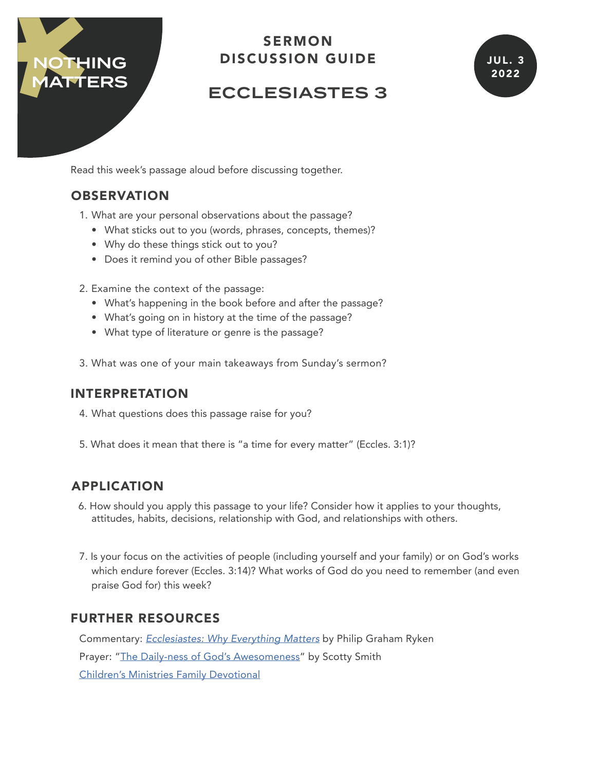



# ECCLESIASTES 3

Read this week's passage aloud before discussing together.

### **OBSERVATION**

- 1. What are your personal observations about the passage?
	- What sticks out to you (words, phrases, concepts, themes)?
	- Why do these things stick out to you?
	- Does it remind you of other Bible passages?
- 2. Examine the context of the passage:
	- What's happening in the book before and after the passage?
	- What's going on in history at the time of the passage?
	- What type of literature or genre is the passage?
- 3. What was one of your main takeaways from Sunday's sermon?

#### INTERPRETATION

- 4. What questions does this passage raise for you?
- 5. What does it mean that there is "a time for every matter" (Eccles. 3:1)?

### APPLICATION

- 6. How should you apply this passage to your life? Consider how it applies to your thoughts, attitudes, habits, decisions, relationship with God, and relationships with others.
- 7. Is your focus on the activities of people (including yourself and your family) or on God's works which endure forever (Eccles. 3:14)? What works of God do you need to remember (and even praise God for) this week?

#### FURTHER RESOURCES

Commentary: *[Ecclesiastes: Why Everything Matters](https://www.christianbook.com/ecclesiastes-why-everything-matters/philip-ryken/9781433548888/pd/548888)* by Philip Graham Ryken Prayer: "[The Daily-ness of God's Awesomeness](https://www.thegospelcoalition.org/blogs/scotty-smith/the-daily-ness-of-gods-awesomeness/)" by Scotty Smith [Children's Ministries Family Devotional](https://www.yourchurch.com/familydevotional)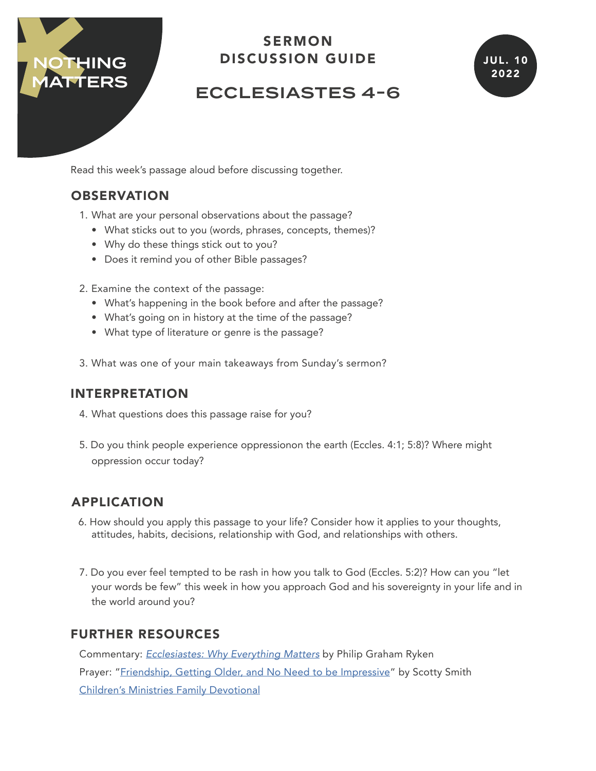



# ECCLESIASTES 4-6

Read this week's passage aloud before discussing together.

### **OBSERVATION**

- 1. What are your personal observations about the passage?
	- What sticks out to you (words, phrases, concepts, themes)?
	- Why do these things stick out to you?
	- Does it remind you of other Bible passages?
- 2. Examine the context of the passage:
	- What's happening in the book before and after the passage?
	- What's going on in history at the time of the passage?
	- What type of literature or genre is the passage?
- 3. What was one of your main takeaways from Sunday's sermon?

#### INTERPRETATION

- 4. What questions does this passage raise for you?
- 5. Do you think people experience oppressionon the earth (Eccles. 4:1; 5:8)? Where might oppression occur today?

### APPLICATION

- 6. How should you apply this passage to your life? Consider how it applies to your thoughts, attitudes, habits, decisions, relationship with God, and relationships with others.
- 7. Do you ever feel tempted to be rash in how you talk to God (Eccles. 5:2)? How can you "let your words be few" this week in how you approach God and his sovereignty in your life and in the world around you?

#### FURTHER RESOURCES

Commentary: *[Ecclesiastes: Why Everything Matters](https://www.christianbook.com/ecclesiastes-why-everything-matters/philip-ryken/9781433548888/pd/548888)* by Philip Graham Ryken Prayer: "[Friendship, Getting Older, and No Need to be Impressive"](https://www.thegospelcoalition.org/blogs/scotty-smith/friendship-getting-older-and-no-need-to-be-impressive/) by Scotty Smith [Children's Ministries Family Devotional](https://www.yourchurch.com/familydevotional)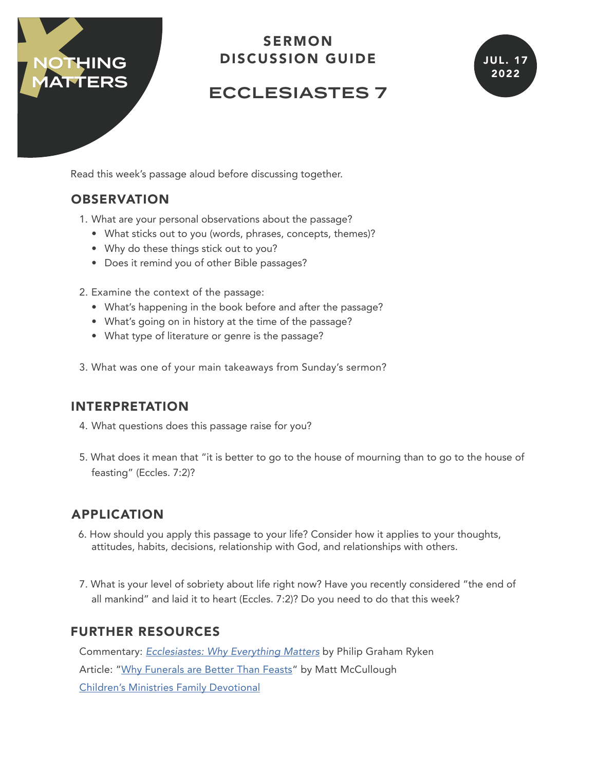



# ECCLESIASTES 7

Read this week's passage aloud before discussing together.

### **OBSERVATION**

- 1. What are your personal observations about the passage?
	- What sticks out to you (words, phrases, concepts, themes)?
	- Why do these things stick out to you?
	- Does it remind you of other Bible passages?
- 2. Examine the context of the passage:
	- What's happening in the book before and after the passage?
	- What's going on in history at the time of the passage?
	- What type of literature or genre is the passage?
- 3. What was one of your main takeaways from Sunday's sermon?

#### INTERPRETATION

- 4. What questions does this passage raise for you?
- 5. What does it mean that "it is better to go to the house of mourning than to go to the house of feasting" (Eccles. 7:2)?

### APPLICATION

- 6. How should you apply this passage to your life? Consider how it applies to your thoughts, attitudes, habits, decisions, relationship with God, and relationships with others.
- 7. What is your level of sobriety about life right now? Have you recently considered "the end of all mankind" and laid it to heart (Eccles. 7:2)? Do you need to do that this week?

#### FURTHER RESOURCES

Commentary: *[Ecclesiastes: Why Everything Matters](https://www.christianbook.com/ecclesiastes-why-everything-matters/philip-ryken/9781433548888/pd/548888)* by Philip Graham Ryken Article: "[Why Funerals are Better Than Feasts](https://www.thegospelcoalition.org/article/funerals-better-feasts/)" by Matt McCullough [Children's Ministries Family Devotional](https://www.yourchurch.com/familydevotional)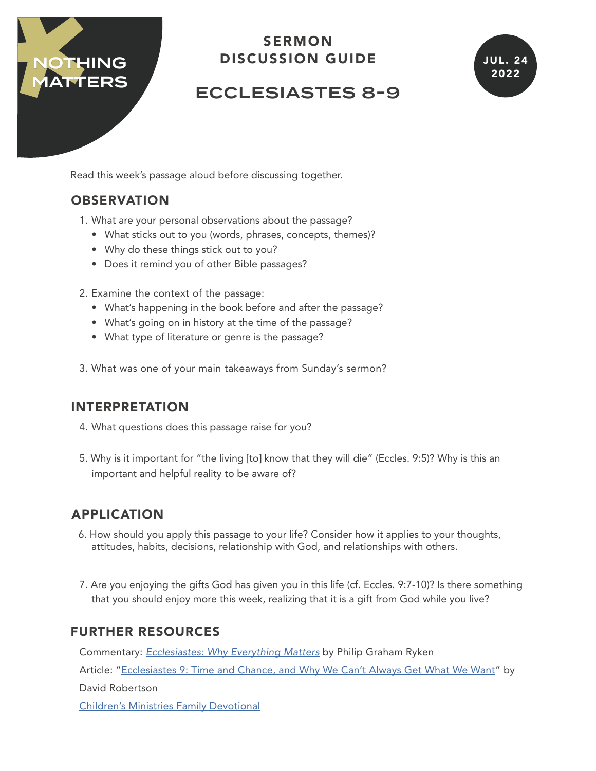



# ECCLESIASTES 8-9

Read this week's passage aloud before discussing together.

### **OBSERVATION**

- 1. What are your personal observations about the passage?
	- What sticks out to you (words, phrases, concepts, themes)?
	- Why do these things stick out to you?
	- Does it remind you of other Bible passages?
- 2. Examine the context of the passage:
	- What's happening in the book before and after the passage?
	- What's going on in history at the time of the passage?
	- What type of literature or genre is the passage?
- 3. What was one of your main takeaways from Sunday's sermon?

#### INTERPRETATION

- 4. What questions does this passage raise for you?
- 5. Why is it important for "the living [to] know that they will die" (Eccles. 9:5)? Why is this an important and helpful reality to be aware of?

### APPLICATION

- 6. How should you apply this passage to your life? Consider how it applies to your thoughts, attitudes, habits, decisions, relationship with God, and relationships with others.
- 7. Are you enjoying the gifts God has given you in this life (cf. Eccles. 9:7-10)? Is there something that you should enjoy more this week, realizing that it is a gift from God while you live?

### FURTHER RESOURCES

Commentary: *[Ecclesiastes: Why Everything Matters](https://www.christianbook.com/ecclesiastes-why-everything-matters/philip-ryken/9781433548888/pd/548888)* by Philip Graham Ryken Article: "[Ecclesiastes 9: Time and Chance, and Why We Can't Always Get What We Want"](https://www.christiantoday.com/article/ecclesiastes-9-time-and-chance-and-why-we-cant-always-get-what-we-want/129244.htm) by David Robertson [Children's Ministries Family Devotional](https://www.yourchurch.com/familydevotional)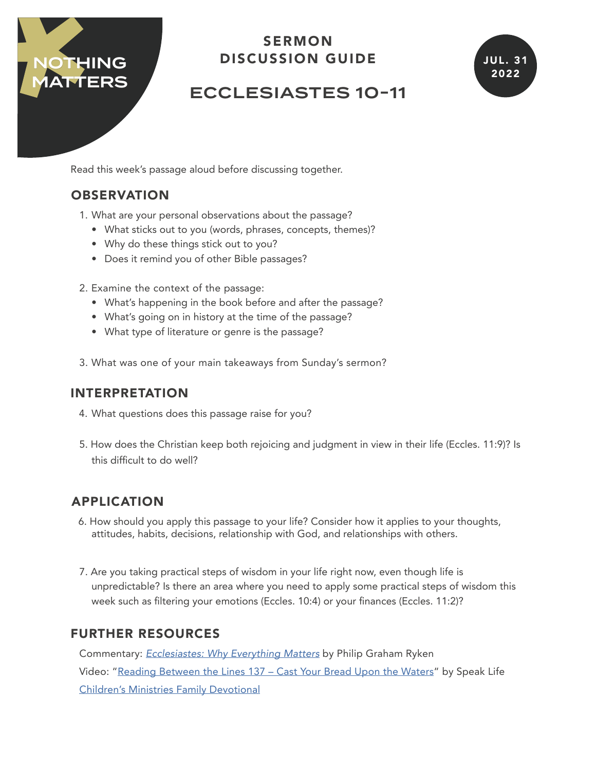



# ECCLESIASTES 10-11

Read this week's passage aloud before discussing together.

### **OBSERVATION**

- 1. What are your personal observations about the passage?
	- What sticks out to you (words, phrases, concepts, themes)?
	- Why do these things stick out to you?
	- Does it remind you of other Bible passages?
- 2. Examine the context of the passage:
	- What's happening in the book before and after the passage?
	- What's going on in history at the time of the passage?
	- What type of literature or genre is the passage?
- 3. What was one of your main takeaways from Sunday's sermon?

#### INTERPRETATION

- 4. What questions does this passage raise for you?
- 5. How does the Christian keep both rejoicing and judgment in view in their life (Eccles. 11:9)? Is this difficult to do well?

### APPLICATION

- 6. How should you apply this passage to your life? Consider how it applies to your thoughts, attitudes, habits, decisions, relationship with God, and relationships with others.
- 7. Are you taking practical steps of wisdom in your life right now, even though life is unpredictable? Is there an area where you need to apply some practical steps of wisdom this week such as filtering your emotions (Eccles. 10:4) or your finances (Eccles. 11:2)?

### FURTHER RESOURCES

Commentary: *[Ecclesiastes: Why Everything Matters](https://www.christianbook.com/ecclesiastes-why-everything-matters/philip-ryken/9781433548888/pd/548888)* by Philip Graham Ryken Video: "Reading Between the Lines 137 - Cast Your Bread Upon the Waters" by Speak Life [Children's Ministries Family Devotional](https://www.yourchurch.com/familydevotional)